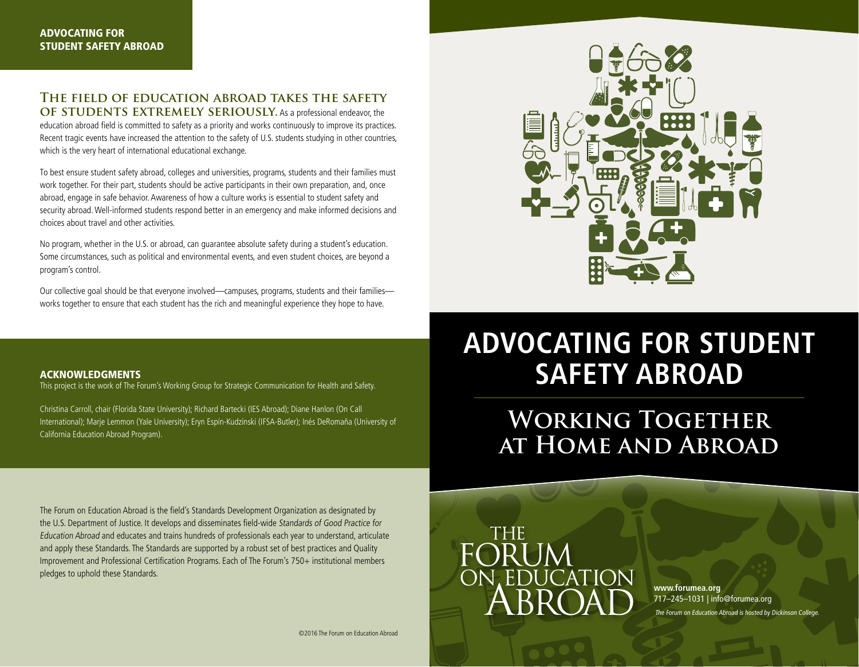# **The field of education abroad takes the safety OF STUDENTS EXTREMELY SERIOUSLY.** As a professional endeavor, the

education abroad field is committed to safety as a priority and works continuously to improve its practices. Recent tragic events have increased the attention to the safety of U.S. students studying in other countries, which is the very heart of international educational exchange.

To best ensure student safety abroad, colleges and universities, programs, students and their families must work together. For their part, students should be active participants in their own preparation, and, once abroad, engage in safe behavior. Awareness of how a culture works is essential to student safety and security abroad. Well-informed students respond better in an emergency and make informed decisions and choices about travel and other activities.

No program, whether in the U.S. or abroad, can guarantee absolute safety during a student's education. Some circumstances, such as political and environmental events, and even student choices, are beyond a program's control.

Our collective goal should be that everyone involved—campuses, programs, students and their families works together to ensure that each student has the rich and meaningful experience they hope to have.



This project is the work of The Forum's Working Group for Strategic Communication for Health and Safety.

Christina Carroll, chair (Florida State University); Richard Bartecki (IES Abroad); Diane Hanlon (On Call International); Marje Lemmon (Yale University); Eryn Espín-Kudzinski (IFSA-Butler); Inés DeRomaña (University of California Education Abroad Program).



# **Advocating for Student Safety Abroad**

WORKING TOGETHER **at Home and Abroad**

The Forum on Education Abroad is the field's Standards Development Organization as designated by the U.S. Department of Justice. It develops and disseminates field-wide Standards of Good Practice for Education Abroad and educates and trains hundreds of professionals each year to understand, articulate and apply these Standards. The Standards are supported by a robust set of best practices and Quality Improvement and Professional Certification Programs. Each of The Forum's 750+ institutional members pledges to uphold these Standards.



**www.forumea.org**  717–245–1031 | info@forumea.org The Forum on Education Abroad is hosted by Dickinson College.